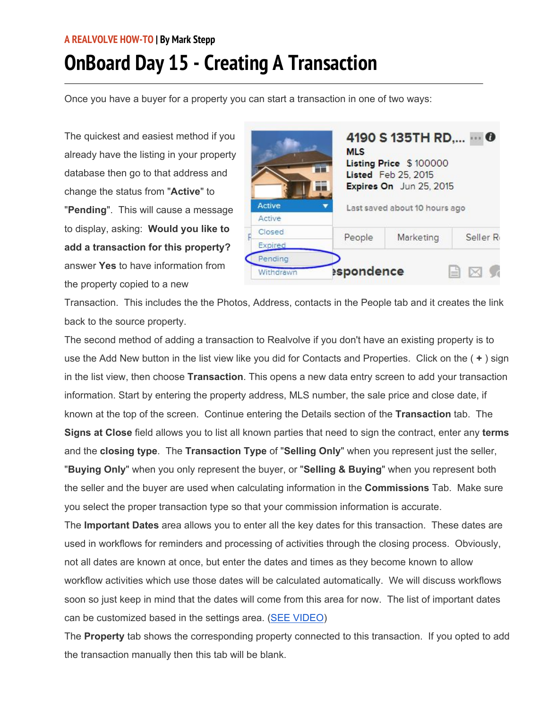## **A REALVOLVE HOW-TO | By Mark Stepp OnBoard Day 15 - Creating A Transaction**

Once you have a buyer for a property you can start a transaction in one of two ways:

The quickest and easiest method if you already have the listing in your property database then go to that address and change the status from "**Active**" to "**Pending**". This will cause a message to display, asking: **Would you like to add a transaction for this property?** answer **Yes** to have information from the property copied to a new

|               | 4190 S 135TH RD,<br>n<br><b>MLS</b><br>Listing Price \$100000<br>Listed Feb 25, 2015<br>Expires On Jun 25, 2015 |                               |          |  |
|---------------|-----------------------------------------------------------------------------------------------------------------|-------------------------------|----------|--|
| Active        |                                                                                                                 | Last saved about 10 hours ago |          |  |
| Active        |                                                                                                                 |                               |          |  |
| <b>Closed</b> | People                                                                                                          | Marketing                     | Seller R |  |
| Expired       |                                                                                                                 |                               |          |  |
| Pending       |                                                                                                                 |                               |          |  |
| Withdrawn     | espondence                                                                                                      |                               |          |  |

Transaction. This includes the the Photos, Address, contacts in the People tab and it creates the link back to the source property.

The second method of adding a transaction to Realvolve if you don't have an existing property is to use the Add New button in the list view like you did for Contacts and Properties. Click on the ( **+** ) sign in the list view, then choose **Transaction**. This opens a new data entry screen to add your transaction information. Start by entering the property address, MLS number, the sale price and close date, if known at the top of the screen. Continue entering the Details section of the **Transaction** tab. The **Signs at Close** field allows you to list all known parties that need to sign the contract, enter any **terms** and the **closing type**. The **Transaction Type** of "**Selling Only**" when you represent just the seller, "**Buying Only**" when you only represent the buyer, or "**Selling & Buying**" when you represent both the seller and the buyer are used when calculating information in the **Commissions** Tab. Make sure you select the proper transaction type so that your commission information is accurate.

The **Important Dates** area allows you to enter all the key dates for this transaction. These dates are used in workflows for reminders and processing of activities through the closing process. Obviously, not all dates are known at once, but enter the dates and times as they become known to allow workflow activities which use those dates will be calculated automatically. We will discuss workflows soon so just keep in mind that the dates will come from this area for now. The list of important dates can be customized based in the settings area. (SEE VIDEO)

The **Property** tab shows the corresponding property connected to this transaction. If you opted to add the transaction manually then this tab will be blank.